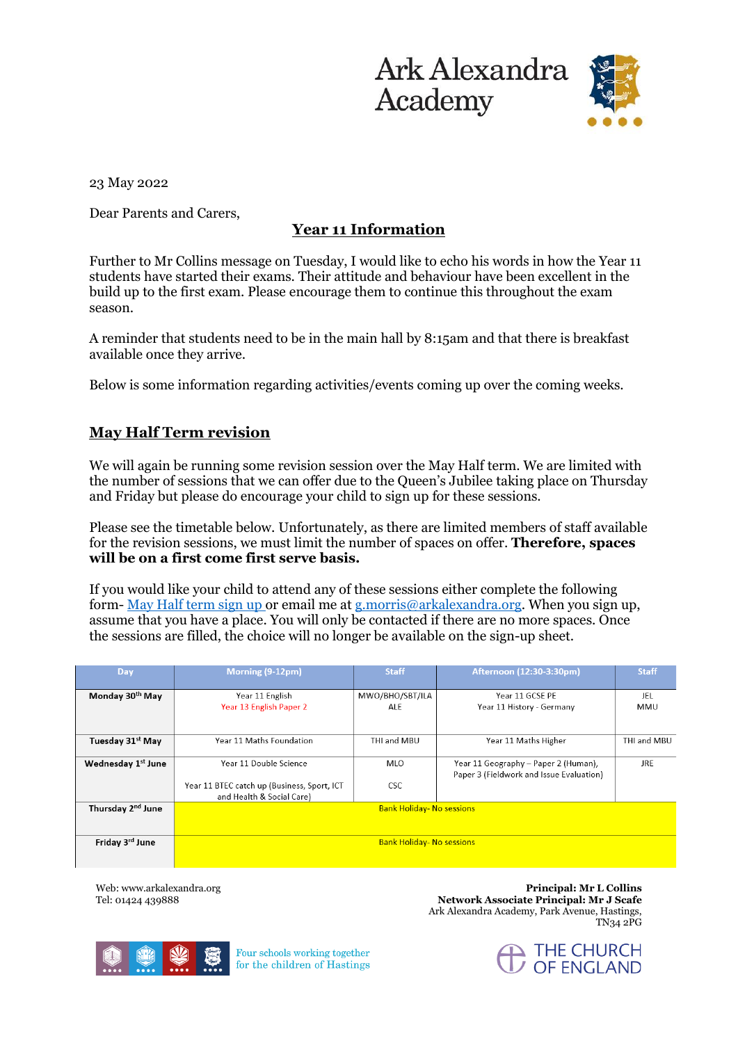



23 May 2022

Dear Parents and Carers,

## **Year 11 Information**

Further to Mr Collins message on Tuesday, I would like to echo his words in how the Year 11 students have started their exams. Their attitude and behaviour have been excellent in the build up to the first exam. Please encourage them to continue this throughout the exam season.

A reminder that students need to be in the main hall by 8:15am and that there is breakfast available once they arrive.

Below is some information regarding activities/events coming up over the coming weeks.

### **May Half Term revision**

We will again be running some revision session over the May Half term. We are limited with the number of sessions that we can offer due to the Queen's Jubilee taking place on Thursday and Friday but please do encourage your child to sign up for these sessions.

Please see the timetable below. Unfortunately, as there are limited members of staff available for the revision sessions, we must limit the number of spaces on offer. **Therefore, spaces will be on a first come first serve basis.** 

If you would like your child to attend any of these sessions either complete the following form- [May Half term sign up](https://forms.office.com/r/snQyQKuKn4) or email me at [g.morris@arkalexandra.org.](mailto:g.morris@arkalexandra.org) When you sign up, assume that you have a place. You will only be contacted if there are no more spaces. Once the sessions are filled, the choice will no longer be available on the sign-up sheet.

| Day                           | Morning (9-12pm)                                                         | <b>Staff</b>           | Afternoon (12:30-3:30pm)                                                         | <b>Staff</b> |
|-------------------------------|--------------------------------------------------------------------------|------------------------|----------------------------------------------------------------------------------|--------------|
| Monday 30 <sup>th</sup> May   | Year 11 English<br>Year 13 English Paper 2                               | MWO/BHO/SBT/ILA<br>ALE | Year 11 GCSE PE<br>Year 11 History - Germany                                     | JEL<br>MMU   |
| Tuesday 31st May              | Year 11 Maths Foundation                                                 | THI and MBU            | Year 11 Maths Higher                                                             | THI and MBU  |
| Wednesday 1st June            | Year 11 Double Science                                                   | <b>MLO</b>             | Year 11 Geography - Paper 2 (Human),<br>Paper 3 (Fieldwork and Issue Evaluation) | JRE          |
|                               | Year 11 BTEC catch up (Business, Sport, ICT<br>and Health & Social Care) | <b>CSC</b>             |                                                                                  |              |
| Thursday 2 <sup>nd</sup> June | <b>Bank Holiday- No sessions</b>                                         |                        |                                                                                  |              |
| Friday 3 <sup>rd</sup> June   | <b>Bank Holiday- No sessions</b>                                         |                        |                                                                                  |              |

Web: www.arkalexandra.org Tel: 01424 439888

**Principal: Mr L Collins Network Associate Principal: Mr J Scafe** Ark Alexandra Academy, Park Avenue, Hastings, TN34 2PG



Four schools working together for the children of Hastings